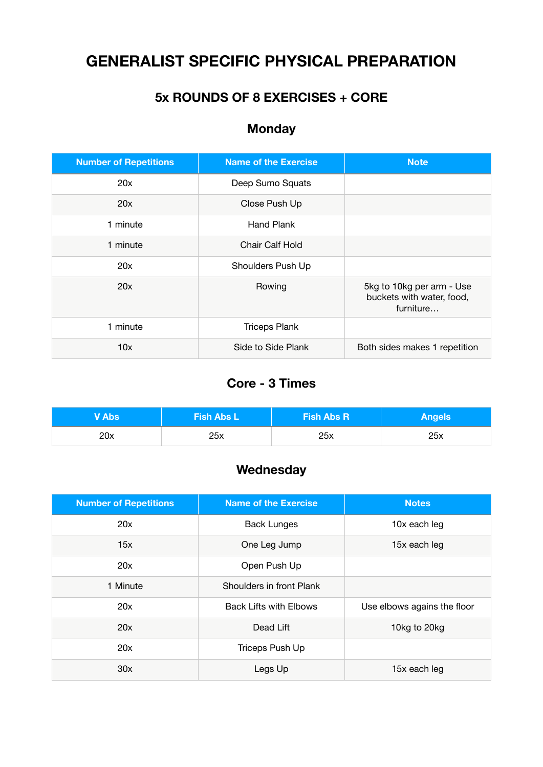# **GENERALIST SPECIFIC PHYSICAL PREPARATION**

### **5x ROUNDS OF 8 EXERCISES + CORE**

# **Monday**

| <b>Number of Repetitions</b> | <b>Name of the Exercise</b> | <b>Note</b>                                                         |  |
|------------------------------|-----------------------------|---------------------------------------------------------------------|--|
| 20x                          | Deep Sumo Squats            |                                                                     |  |
| 20x                          | Close Push Up               |                                                                     |  |
| 1 minute                     | Hand Plank                  |                                                                     |  |
| 1 minute                     | Chair Calf Hold             |                                                                     |  |
| 20x                          | Shoulders Push Up           |                                                                     |  |
| 20x                          | Rowing                      | 5kg to 10kg per arm - Use<br>buckets with water, food,<br>furniture |  |
| 1 minute                     | <b>Triceps Plank</b>        |                                                                     |  |
| 10x                          | Side to Side Plank          | Both sides makes 1 repetition                                       |  |

### **Core - 3 Times**

| V Abs <sup>l</sup> | <b>Fish Abs L</b> | <b>Fish Abs R</b> | <b>Angels</b> |
|--------------------|-------------------|-------------------|---------------|
| 20x                | 25x               | 25x               | 25x           |

## **Wednesday**

| <b>Number of Repetitions</b> | <b>Name of the Exercise</b>   | <b>Notes</b>                |
|------------------------------|-------------------------------|-----------------------------|
| 20x                          | <b>Back Lunges</b>            | 10x each leg                |
| 15x                          | One Leg Jump<br>15x each leg  |                             |
| 20x                          | Open Push Up                  |                             |
| 1 Minute                     | Shoulders in front Plank      |                             |
| 20x                          | <b>Back Lifts with Elbows</b> | Use elbows agains the floor |
| 20x                          | Dead Lift                     | 10kg to 20kg                |
| 20x                          | Triceps Push Up               |                             |
| 30x                          | Legs Up                       | 15x each leg                |